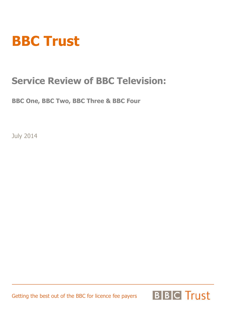# **BBC Trust**

### **Service Review of BBC Television:**

**BBC One, BBC Two, BBC Three & BBC Four** 

July 2014

Getting the best out of the BBC for licence fee payers

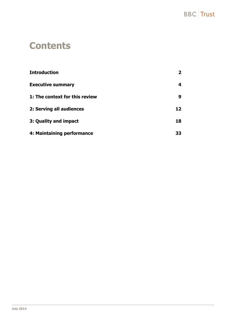

### **Contents**

| <b>Introduction</b>            |    |
|--------------------------------|----|
| <b>Executive summary</b>       | 4  |
| 1: The context for this review | 9  |
| 2: Serving all audiences       | 12 |
| 3: Quality and impact          | 18 |
| 4: Maintaining performance     | 33 |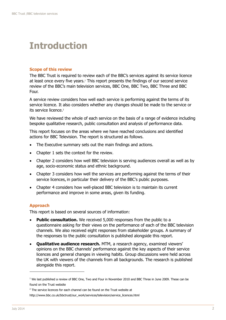### <span id="page-2-0"></span>**Introduction**

#### **Scope of this review**

The BBC Trust is required to review each of the BBC's services against its service licence at least once every five years.<sup>1</sup> This report presents the findings of our second service review of the BBC's main television services, BBC One, BBC Two, BBC Three and BBC Four.

A service review considers how well each service is performing against the terms of its service licence. It also considers whether any changes should be made to the service or its service licence. 2

We have reviewed the whole of each service on the basis of a range of evidence including bespoke qualitative research, public consultation and analysis of performance data.

This report focuses on the areas where we have reached conclusions and identified actions for BBC Television. The report is structured as follows.

- The Executive summary sets out the main findings and actions.
- Chapter 1 sets the context for the review.
- Chapter 2 considers how well BBC television is serving audiences overall as well as by age, socio-economic status and ethnic background.
- Chapter 3 considers how well the services are performing against the terms of their service licences, in particular their delivery of the BBC's public purposes.
- Chapter 4 considers how well-placed BBC television is to maintain its current performance and improve in some areas, given its funding.

#### **Approach**

This report is based on several sources of information:

- **Public consultation.** We received 5,000 responses from the public to a questionnaire asking for their views on the performance of each of the BBC television channels. We also received eight responses from stakeholder groups. A summary of the responses to the public consultation is published alongside this report.
- **Qualitative audience research.** MTM, a research agency, examined viewers' opinions on the BBC channels' performance against the key aspects of their service licences and general changes in viewing habits. Group discussions were held across the UK with viewers of the channels from all backgrounds. The research is published alongside this report.

 $1$  We last published a review of BBC One, Two and Four in November 2010 and BBC Three in June 2009. These can be found on the Trust website

 $2$  The service licences for each channel can be found on the Trust website at

http://www.bbc.co.uk/bbctrust/our\_work/services/television/service\_licences.html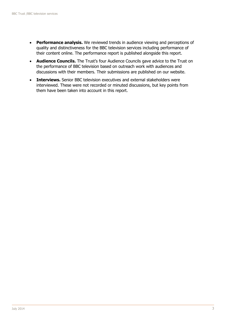- **Performance analysis.** We reviewed trends in audience viewing and perceptions of quality and distinctiveness for the BBC television services including performance of their content online. The performance report is published alongside this report.
- **Audience Councils.** The Trust's four Audience Councils gave advice to the Trust on the performance of BBC television based on outreach work with audiences and discussions with their members. Their submissions are published on our website.
- **Interviews.** Senior BBC television executives and external stakeholders were interviewed. These were not recorded or minuted discussions, but key points from them have been taken into account in this report.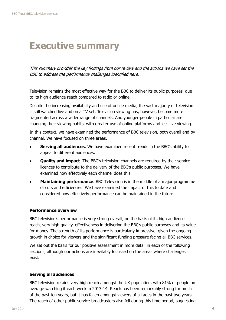### <span id="page-4-0"></span>**Executive summary**

This summary provides the key findings from our review and the actions we have set the BBC to address the performance challenges identified here.

Television remains the most effective way for the BBC to deliver its public purposes, due to its high audience reach compared to radio or online.

Despite the increasing availability and use of online media, the vast majority of television is still watched live and on a TV set. Television viewing has, however, become more fragmented across a wider range of channels. And younger people in particular are changing their viewing habits, with greater use of online platforms and less live viewing.

In this context, we have examined the performance of BBC television, both overall and by channel. We have focused on three areas.

- **Serving all audiences**. We have examined recent trends in the BBC's ability to appeal to different audiences.
- **Quality and impact**. The BBC's television channels are required by their service licences to contribute to the delivery of the BBC's public purposes. We have examined how effectively each channel does this.
- **Maintaining performance**. BBC Television is in the middle of a major programme of cuts and efficiencies. We have examined the impact of this to date and considered how effectively performance can be maintained in the future.

#### **Performance overview**

BBC television's performance is very strong overall, on the basis of its high audience reach, very high quality, effectiveness in delivering the BBC's public purposes and its value for money. The strength of its performance is particularly impressive, given the ongoing growth in choice for viewers and the significant funding pressure facing all BBC services.

We set out the basis for our positive assessment in more detail in each of the following sections, although our actions are inevitably focussed on the areas where challenges exist.

#### **Serving all audiences**

BBC television retains very high reach amongst the UK population, with 81% of people on average watching it each week in 2013-14. Reach has been remarkably strong for much of the past ten years, but it has fallen amongst viewers of all ages in the past two years. The reach of other public service broadcasters also fell during this time period, suggesting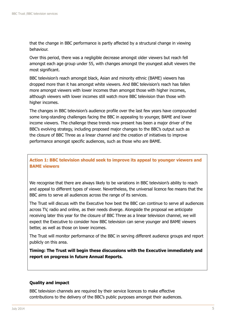that the change in BBC performance is partly affected by a structural change in viewing behaviour.

Over this period, there was a negligible decrease amongst older viewers but reach fell amongst each age group under 55, with changes amongst the youngest adult viewers the most significant.

BBC television's reach amongst black, Asian and minority ethnic (BAME) viewers has dropped more than it has amongst white viewers. And BBC television's reach has fallen more amongst viewers with lower incomes than amongst those with higher incomes, although viewers with lower incomes still watch more BBC television than those with higher incomes.

The changes in BBC television's audience profile over the last few years have compounded some long-standing challenges facing the BBC in appealing to younger, BAME and lower income viewers. The challenge these trends now present has been a major driver of the BBC's evolving strategy, including proposed major changes to the BBC's output such as the closure of BBC Three as a linear channel and the creation of initiatives to improve performance amongst specific audiences, such as those who are BAME.

#### **Action 1: BBC television should seek to improve its appeal to younger viewers and BAME viewers**

We recognise that there are always likely to be variations in BBC television's ability to reach and appeal to different types of viewer. Nevertheless, the universal licence fee means that the BBC aims to serve all audiences across the range of its services.

The Trust will discuss with the Executive how best the BBC can continue to serve all audiences across TV, radio and online, as their needs diverge. Alongside the proposal we anticipate receiving later this year for the closure of BBC Three as a linear television channel, we will expect the Executive to consider how BBC television can serve younger and BAME viewers better, as well as those on lower incomes.

The Trust will monitor performance of the BBC in serving different audience groups and report publicly on this area.

**Timing: The Trust will begin these discussions with the Executive immediately and report on progress in future Annual Reports.**

#### **Quality and impact**

BBC television channels are required by their service licences to make effective contributions to the delivery of the BBC's public purposes amongst their audiences.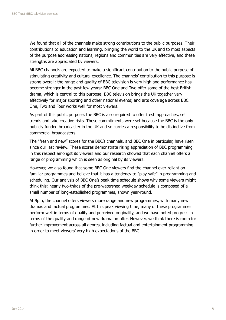We found that all of the channels make strong contributions to the public purposes. Their contributions to education and learning, bringing the world to the UK and to most aspects of the purpose addressing nations, regions and communities are very effective, and these strengths are appreciated by viewers.

All BBC channels are expected to make a significant contribution to the public purpose of stimulating creativity and cultural excellence. The channels' contribution to this purpose is strong overall: the range and quality of BBC television is very high and performance has become stronger in the past few years; BBC One and Two offer some of the best British drama, which is central to this purpose; BBC television brings the UK together very effectively for major sporting and other national events; and arts coverage across BBC One, Two and Four works well for most viewers.

As part of this public purpose, the BBC is also required to offer fresh approaches, set trends and take creative risks. These commitments were set because the BBC is the only publicly funded broadcaster in the UK and so carries a responsibility to be distinctive from commercial broadcasters.

The "fresh and new" scores for the BBC's channels, and BBC One in particular, have risen since our last review. These scores demonstrate rising appreciation of BBC programming in this respect amongst its viewers and our research showed that each channel offers a range of programming which is seen as original by its viewers.

However, we also found that some BBC One viewers find the channel over-reliant on familiar programmes and believe that it has a tendency to "play safe" in programming and scheduling. Our analysis of BBC One's peak time schedule shows why some viewers might think this: nearly two-thirds of the pre-watershed weekday schedule is composed of a small number of long-established programmes, shown year-round.

At 9pm, the channel offers viewers more range and new programmes, with many new dramas and factual programmes. At this peak viewing time, many of these programmes perform well in terms of quality and perceived originality, and we have noted progress in terms of the quality and range of new drama on offer. However, we think there is room for further improvement across all genres, including factual and entertainment programming in order to meet viewers' very high expectations of the BBC.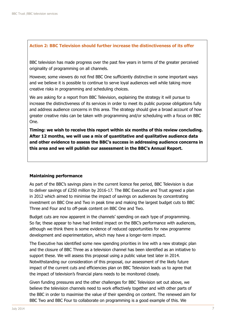#### **Action 2: BBC Television should further increase the distinctiveness of its offer**

BBC television has made progress over the past few years in terms of the greater perceived originality of programming on all channels.

However, some viewers do not find BBC One sufficiently distinctive in some important ways and we believe it is possible to continue to serve loyal audiences well while taking more creative risks in programming and scheduling choices.

We are asking for a report from BBC Television, explaining the strategy it will pursue to increase the distinctiveness of its services in order to meet its public purpose obligations fully and address audience concerns in this area. The strategy should give a broad account of how greater creative risks can be taken with programming and/or scheduling with a focus on BBC One.

**Timing: we wish to receive this report within six months of this review concluding. After 12 months, we will use a mix of quantitative and qualitative audience data and other evidence to assess the BBC's success in addressing audience concerns in this area and we will publish our assessment in the BBC's Annual Report.**

#### **Maintaining performance**

As part of the BBC's savings plans in the current licence fee period, BBC Television is due to deliver savings of £250 million by 2016-17. The BBC Executive and Trust agreed a plan in 2012 which aimed to minimise the impact of savings on audiences by concentrating investment on BBC One and Two in peak time and making the largest budget cuts to BBC Three and Four and to off-peak content on BBC One and Two.

Budget cuts are now apparent in the channels' spending on each type of programming. So far, these appear to have had limited impact on the BBC's performance with audiences, although we think there is some evidence of reduced opportunities for new programme development and experimentation, which may have a longer-term impact.

The Executive has identified some new spending priorities in line with a new strategic plan and the closure of BBC Three as a television channel has been identified as an initiative to support these. We will assess this proposal using a public value test later in 2014. Notwithstanding our consideration of this proposal, our assessment of the likely future impact of the current cuts and efficiencies plan on BBC Television leads us to agree that the impact of television's financial plans needs to be monitored closely.

Given funding pressures and the other challenges for BBC Television set out above, we believe the television channels need to work effectively together and with other parts of the BBC in order to maximise the value of their spending on content. The renewed aim for BBC Two and BBC Four to collaborate on programming is a good example of this. We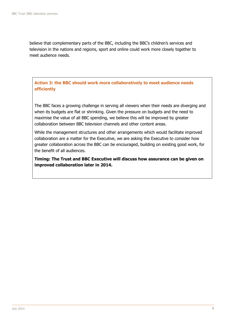believe that complementary parts of the BBC, including the BBC's children's services and television in the nations and regions, sport and online could work more closely together to meet audience needs.

**Action 3: the BBC should work more collaboratively to meet audience needs efficiently**

The BBC faces a growing challenge in serving all viewers when their needs are diverging and when its budgets are flat or shrinking. Given the pressure on budgets and the need to maximise the value of all BBC spending, we believe this will be improved by greater collaboration between BBC television channels and other content areas.

While the management structures and other arrangements which would facilitate improved collaboration are a matter for the Executive, we are asking the Executive to consider how greater collaboration across the BBC can be encouraged, building on existing good work, for the benefit of all audiences.

**Timing: The Trust and BBC Executive will discuss how assurance can be given on improved collaboration later in 2014.**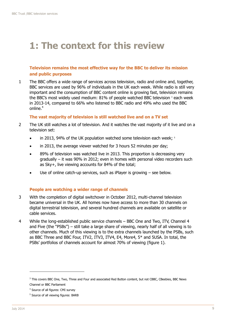### <span id="page-9-0"></span>**1: The context for this review**

#### **Television remains the most effective way for the BBC to deliver its mission and public purposes**

1 The BBC offers a wide range of services across television, radio and online and, together, BBC services are used by 96% of individuals in the UK each week. While radio is still very important and the consumption of BBC content online is growing fast, television remains the BBC's most widely used medium: 81% of people watched BBC television<sup>3</sup> each week in 2013-14, compared to 66% who listened to BBC radio and 49% who used the BBC online. $4$ 

#### **The vast majority of television is still watched live and on a TV set**

- 2 The UK still watches a lot of television. And it watches the vast majority of it live and on a television set:
	- in 2013, 94% of the UK population watched some television each week; <sup>5</sup>
	- in 2013, the average viewer watched for 3 hours 52 minutes per day;
	- 89% of television was watched live in 2013. This proportion is decreasing very gradually – it was 90% in 2012; even in homes with personal video recorders such as Sky+, live viewing accounts for 84% of the total;
	- Use of online catch-up services, such as iPlayer is growing see below.

#### **People are watching a wider range of channels**

- 3 With the completion of digital switchover in October 2012, multi-channel television became universal in the UK. All homes now have access to more than 30 channels on digital terrestrial television, and several hundred channels are available on satellite or cable services.
- 4 While the long-established public service channels BBC One and Two, ITV, Channel 4 and Five (the "PSBs") – still take a large share of viewing, nearly half of all viewing is to other channels. Much of this viewing is to the extra channels launched by the PSBs, such as BBC Three and BBC Four, ITV2, ITV3, ITV4, E4, More4, 5\* and 5USA. In total, the PSBs' portfolios of channels account for almost 70% of viewing (figure 1).

<sup>&</sup>lt;sup>3</sup> This covers BBC One, Two, Three and Four and associated Red Button content, but not CBBC, CBeebies, BBC News Channel or BBC Parliament

<sup>&</sup>lt;sup>4</sup> Source of all figures: CMI survey

<sup>&</sup>lt;sup>5</sup> Source of all viewing figures: BARB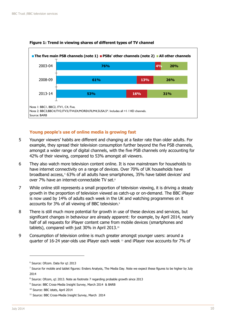

#### **Figure 1: Trend in viewing shares of different types of TV channel**

#### **Young people's use of online media is growing fast**

- 5 Younger viewers' habits are different and changing at a faster rate than older adults. For example, they spread their television consumption further beyond the five PSB channels, amongst a wider range of digital channels, with the five PSB channels only accounting for 42% of their viewing, compared to 53% amongst all viewers.
- 6 They also watch more television content online. It is now mainstream for households to have internet connectivity on a range of devices. Over 70% of UK households have broadband access, <sup>6</sup> 63% of all adults have smartphones, 35% have tablet devices<sup>7</sup> and over 7% have an internet-connectable TV set.<sup>8</sup>
- 7 While online still represents a small proportion of television viewing, it is driving a steady growth in the proportion of television viewed as catch-up or on-demand. The BBC iPlayer is now used by 14% of adults each week in the UK and watching programmes on it accounts for 3% of all viewing of BBC television.<sup>9</sup>
- 8 There is still much more potential for growth in use of these devices and services, but significant changes in behaviour are already apparent: for example, by April 2014, nearly half of all requests for iPlayer content came from mobile devices (smartphones and tablets), compared with just 30% in April 2013.10
- 9 Consumption of television online is much greater amongst younger users: around a quarter of 16-24 year-olds use iPlayer each week <sup>11</sup> and iPlayer now accounts for 7% of

<sup>6</sup> Source: Ofcom. Data for q1 2013

 $^7$  Source for mobile and tablet figures: Enders Analysis, The Media Day. Note we expect these figures to be higher by July 2014

<sup>&</sup>lt;sup>8</sup> Source: Ofcom, q1 2013. Note as footnote 7 regarding probable growth since 2013

<sup>&</sup>lt;sup>9</sup> Source: BBC Cross-Media Insight Survey, March 2014 & BARB

<sup>10</sup> Source: BBC istats, April 2014

<sup>&</sup>lt;sup>11</sup> Source: BBC Cross-Media Insight Survey, March 2014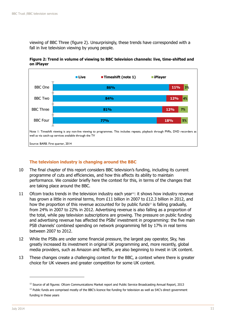viewing of BBC Three (figure 2). Unsurprisingly, these trends have corresponded with a fall in live television viewing by young people.



**Figure 2: Trend in volume of viewing to BBC television channels: live, time-shifted and on iPlayer**

#### **The television industry is changing around the BBC**

- 10 The final chapter of this report considers BBC television's funding, including its current programme of cuts and efficiencies, and how this affects its ability to maintain performance. We consider briefly here the context for this, in terms of the changes that are taking place around the BBC.
- 11 Ofcom tracks trends in the television industry each year<sup>12</sup>: it shows how industry revenue has grown a little in nominal terms, from £11 billion in 2007 to £12.3 billion in 2012, and how the proportion of this revenue accounted for by public funds $13$  is falling gradually, from 24% in 2007 to 22% in 2012. Advertising revenue is also falling as a proportion of the total, while pay television subscriptions are growing. The pressure on public funding and advertising revenue has affected the PSBs' investment in programming: the five main PSB channels' combined spending on network programming fell by 17% in real terms between 2007 to 2012.
- 12 While the PSBs are under some financial pressure, the largest pay operator, Sky, has greatly increased its investment in original UK programming and, more recently, global media providers, such as Amazon and Netflix, are also beginning to invest in UK content.
- 13 These changes create a challenging context for the BBC, a context where there is greater choice for UK viewers and greater competition for some UK content.

<sup>&</sup>lt;sup>12</sup> Source of all figures: Ofcom Communications Market report and Public Service Broadcasting Annual Report, 2013

<sup>&</sup>lt;sup>13</sup> Public funds are comprised mostly of the BBC's licence fee funding for television as well as S4C's direct government funding in these years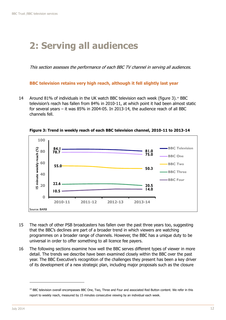### <span id="page-12-0"></span>**2: Serving all audiences**

This section assesses the performance of each BBC TV channel in serving all audiences.

#### **BBC television retains very high reach, although it fell slightly last year**

14 Around 81% of individuals in the UK watch BBC television each week (figure 3).<sup>14</sup> BBC television's reach has fallen from 84% in 2010-11, at which point it had been almost static for several years – it was 85% in 2004-05. In 2013-14, the audience reach of all BBC channels fell.



**Figure 3: Trend in weekly reach of each BBC television channel, 2010-11 to 2013-14** 

- 15 The reach of other PSB broadcasters has fallen over the past three years too, suggesting that the BBC's declines are part of a broader trend in which viewers are watching programmes on a broader range of channels. However, the BBC has a unique duty to be universal in order to offer something to all licence fee payers.
- 16 The following sections examine how well the BBC serves different types of viewer in more detail. The trends we describe have been examined closely within the BBC over the past year. The BBC Executive's recognition of the challenges they present has been a key driver of its development of a new strategic plan, including major proposals such as the closure

<sup>&</sup>lt;sup>14</sup> BBC television overall encompasses BBC One, Two, Three and Four and associated Red Button content. We refer in this report to weekly reach, measured by 15 minutes consecutive viewing by an individual each week.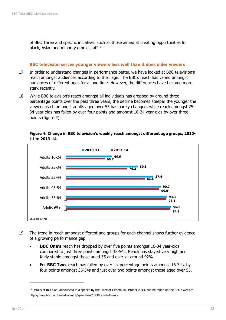of BBC Three and specific initiatives such as those aimed at creating opportunities for black, Asian and minority ethnic staff. 15

#### **BBC television serves younger viewers less well than it does older viewers**

- 17 In order to understand changes in performance better, we have looked at BBC television's reach amongst audiences according to their age. The BBC's reach has varied amongst audiences of different ages for a long time. However, the differences have become more stark recently.
- 18 While BBC television's reach amongst all individuals has dropped by around three percentage points over the past three years, the decline becomes steeper the younger the viewer: reach amongst adults aged over 55 has barely changed, while reach amongst 25- 34 year-olds has fallen by over four points and amongst 16-24 year olds by over three points (figure 4).



**Figure 4: Change in BBC television's weekly reach amongst different age groups, 2010- 11 to 2013-14**

- 19 The trend in reach amongst different age groups for each channel shows further evidence of a growing performance gap.
	- **BBC One's** reach has dropped by over five points amongst 16-34 year-olds compared to just three points amongst 35-54s. Reach has stayed very high and fairly stable amongst those aged 55 and over, at around 92%.
	- For **BBC Two**, reach has fallen by over six percentage points amongst 16-34s, by four points amongst 35-54s and just over two points amongst those aged over 55.

 $15$  Details of this plan, announced in a speech by the Director General in October 2013, can be found on the BBC's website http://www.bbc.co.uk/mediacentre/speeches/2013/tony-hall-vision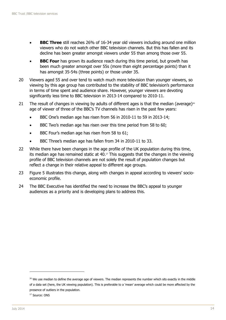- **BBC Three** still reaches 26% of 16-34 year old viewers including around one million viewers who do not watch other BBC television channels. But this has fallen and its decline has been greater amongst viewers under 55 than among those over 55.
- **BBC Four** has grown its audience reach during this time period, but growth has been much greater amongst over 55s (more than eight percentage points) than it has amongst 35-54s (three points) or those under 35.
- 20 Viewers aged 55 and over tend to watch much more television than younger viewers, so viewing by this age group has contributed to the stability of BBC television's performance in terms of time spent and audience share. However, younger viewers are devoting significantly less time to BBC television in 2013-14 compared to 2010-11.
- 21 The result of changes in viewing by adults of different ages is that the median (average)<sup>16</sup> age of viewer of three of the BBC's TV channels has risen in the past few years:
	- BBC One's median age has risen from 56 in 2010-11 to 59 in 2013-14;
	- BBC Two's median age has risen over this time period from 58 to 60;
	- BBC Four's median age has risen from 58 to 61;
	- BBC Three's median age has fallen from 34 in 2010-11 to 33.
- 22 While there have been changes in the age profile of the UK population during this time, its median age has remained static at  $40.^{\circ}$ . This suggests that the changes in the viewing profile of BBC television channels are not solely the result of population changes but reflect a change in their relative appeal to different age groups.
- 23 Figure 5 illustrates this change, along with changes in appeal according to viewers' socioeconomic profile.
- 24 The BBC Executive has identified the need to increase the BBC's appeal to younger audiences as a priority and is developing plans to address this.

<sup>&</sup>lt;sup>16</sup> We use median to define the average age of viewers. The median represents the number which sits exactly in the middle of a data set (here, the UK viewing population). This is preferable to a 'mean' average which could be more affected by the presence of outliers in the population.

<sup>&</sup>lt;sup>17</sup> Source: ONS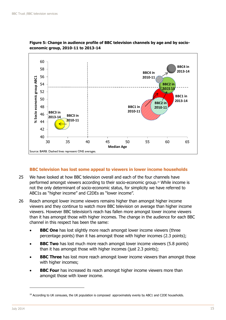



#### **BBC television has lost some appeal to viewers in lower income households**

- 25 We have looked at how BBC television overall and each of the four channels have performed amongst viewers according to their socio-economic group. <sup>18</sup> While income is not the only determinant of socio-economic status, for simplicity we have referred to ABC1s as "higher income" and C2DEs as "lower income".
- 26 Reach amongst lower income viewers remains higher than amongst higher income viewers and they continue to watch more BBC television on average than higher income viewers. However BBC television's reach has fallen more amongst lower income viewers than it has amongst those with higher incomes. The change in the audience for each BBC channel in this respect has been the same:
	- **BBC One** has lost slightly more reach amongst lower income viewers (three percentage points) than it has amongst those with higher incomes (2.3 points);
	- **BBC Two** has lost much more reach amongst lower income viewers (5.8 points) than it has amongst those with higher incomes (just 2.3 points);
	- **BBC Three** has lost more reach amongst lower income viewers than amongst those with higher incomes;
	- **BBC Four** has increased its reach amongst higher income viewers more than amongst those with lower income.

 $18$  According to UK censuses, the UK population is composed approximately evenly by ABC1 and C2DE households.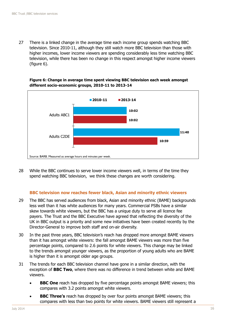27 There is a linked change in the average time each income group spends watching BBC television. Since 2010-11, although they still watch more BBC television than those with higher incomes, lower income viewers are spending considerably less time watching BBC television, while there has been no change in this respect amongst higher income viewers (figure 6).





28 While the BBC continues to serve lower income viewers well, in terms of the time they spend watching BBC television, we think these changes are worth considering.

#### **BBC television now reaches fewer black, Asian and minority ethnic viewers**

- 29 The BBC has served audiences from black, Asian and minority ethnic (BAME) backgrounds less well than it has white audiences for many years. Commercial PSBs have a similar skew towards white viewers, but the BBC has a unique duty to serve all licence fee payers. The Trust and the BBC Executive have agreed that reflecting the diversity of the UK in BBC output is a priority and some new initiatives have been created recently by the Director-General to improve both staff and on-air diversity.
- 30 In the past three years, BBC television's reach has dropped more amongst BAME viewers than it has amongst white viewers: the fall amongst BAME viewers was more than five percentage points, compared to 2.6 points for white viewers. This change may be linked to the trends amongst younger viewers, as the proportion of young adults who are BAME is higher than it is amongst older age groups.
- 31 The trends for each BBC television channel have gone in a similar direction, with the exception of **BBC Two**, where there was no difference in trend between white and BAME viewers.
	- **BBC One** reach has dropped by five percentage points amongst BAME viewers; this compares with 3.2 points amongst white viewers.
	- **BBC Three's** reach has dropped by over four points amongst BAME viewers; this compares with less than two points for white viewers. BAME viewers still represent a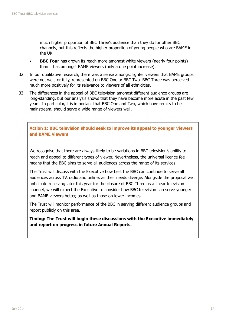much higher proportion of BBC Three's audience than they do for other BBC channels, but this reflects the higher proportion of young people who are BAME in the UK.

- **BBC Four** has grown its reach more amongst white viewers (nearly four points) than it has amongst BAME viewers (only a one point increase).
- 32 In our qualitative research, there was a sense amongst lighter viewers that BAME groups were not well, or fully, represented on BBC One or BBC Two. BBC Three was perceived much more positively for its relevance to viewers of all ethnicities.
- 33 The differences in the appeal of BBC television amongst different audience groups are long-standing, but our analysis shows that they have become more acute in the past few years. In particular, it is important that BBC One and Two, which have remits to be mainstream, should serve a wide range of viewers well.

**Action 1: BBC television should seek to improve its appeal to younger viewers and BAME viewers** 

We recognise that there are always likely to be variations in BBC television's ability to reach and appeal to different types of viewer. Nevertheless, the universal licence fee means that the BBC aims to serve all audiences across the range of its services.

The Trust will discuss with the Executive how best the BBC can continue to serve all audiences across TV, radio and online, as their needs diverge. Alongside the proposal we anticipate receiving later this year for the closure of BBC Three as a linear television channel, we will expect the Executive to consider how BBC television can serve younger and BAME viewers better, as well as those on lower incomes.

The Trust will monitor performance of the BBC in serving different audience groups and report publicly on this area.

**Timing: The Trust will begin these discussions with the Executive immediately and report on progress in future Annual Reports.**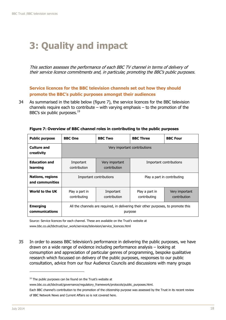# <span id="page-18-0"></span>**3: Quality and impact**

This section assesses the performance of each BBC TV channel in terms of delivery of their service licence commitments and, in particular, promoting the BBC's public purposes.

**Service licences for the BBC television channels set out how they should promote the BBC's public purposes amongst their audiences**

34 As summarised in the table below (figure 7), the service licences for the BBC television channels require each to contribute – with varying emphasis  $-$  to the promotion of the BBC's six public purposes.<sup>19</sup>

| <b>Public purpose</b>               | <b>BBC</b> One                                                                                | <b>BBC Two</b>                 | <b>BBC Three</b>                                                 | <b>BBC Four</b> |  |
|-------------------------------------|-----------------------------------------------------------------------------------------------|--------------------------------|------------------------------------------------------------------|-----------------|--|
| <b>Culture and</b><br>creativity    | Very important contributions                                                                  |                                |                                                                  |                 |  |
| <b>Education and</b><br>learning    | Important<br>contribution                                                                     | Very important<br>contribution | Important contributions                                          |                 |  |
| Nations, regions<br>and communities |                                                                                               | Important contributions        | Play a part in contributing                                      |                 |  |
| World to the UK                     | Play a part in<br>contributing                                                                | Important<br>contribution      | Play a part in<br>Very important<br>contribution<br>contributing |                 |  |
| <b>Emerging</b><br>communications   | All the channels are required, in delivering their other purposes, to promote this<br>purpose |                                |                                                                  |                 |  |

**Figure 7: Overview of BBC channel roles in contributing to the public purposes**

Source: Service licences for each channel. These are available on the Trust's website at www.bbc.co.uk/bbctrust/our\_work/services/television/service\_licences.html

35 In order to assess BBC television's performance in delivering the public purposes, we have drawn on a wide range of evidence including performance analysis – looking at consumption and appreciation of particular genres of programming, bespoke qualitative research which focussed on delivery of the public purposes, responses to our public consultation, advice from our four Audience Councils and discussions with many groups

<sup>&</sup>lt;sup>19</sup> The public purposes can be found on the Trust's website at

www.bbc.co.uk/bbctrust/governance/regulatory\_framework/protocols/public\_purposes.html.

Each BBC channel's contribution to the promotion of the citizenship purpose was assessed by the Trust in its recent review of BBC Network News and Current Affairs so is not covered here.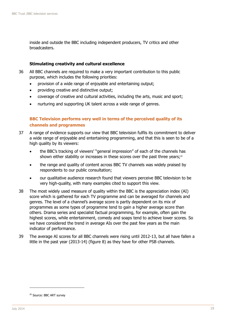inside and outside the BBC including independent producers, TV critics and other broadcasters.

#### **Stimulating creativity and cultural excellence**

- 36 All BBC channels are required to make a very important contribution to this public purpose, which includes the following priorities:
	- provision of a wide range of enjoyable and entertaining output;
	- providing creative and distinctive output;
	- coverage of creative and cultural activities, including the arts, music and sport;
	- nurturing and supporting UK talent across a wide range of genres.

#### **BBC Television performs very well in terms of the perceived quality of its channels and programmes**

- 37 A range of evidence supports our view that BBC television fulfils its commitment to deliver a wide range of enjoyable and entertaining programming, and that this is seen to be of a high quality by its viewers:
	- the BBC's tracking of viewers' "general impression" of each of the channels has shown either stability or increases in these scores over the past three years;<sup>20</sup>
	- the range and quality of content across BBC TV channels was widely praised by respondents to our public consultation;
	- our qualitative audience research found that viewers perceive BBC television to be very high-quality, with many examples cited to support this view.
- 38 The most widely used measure of quality within the BBC is the appreciation index (AI) score which is gathered for each TV programme and can be averaged for channels and genres. The level of a channel's average score is partly dependent on its mix of programmes as some types of programme tend to gain a higher average score than others. Drama series and specialist factual programming, for example, often gain the highest scores, while entertainment, comedy and soaps tend to achieve lower scores. So we have considered the trend in average AIs over the past few years as the main indicator of performance.
- 39 The average AI scores for all BBC channels were rising until 2012-13, but all have fallen a little in the past year (2013-14) (figure 8) as they have for other PSB channels.

<sup>&</sup>lt;sup>20</sup> Source: BBC ART survey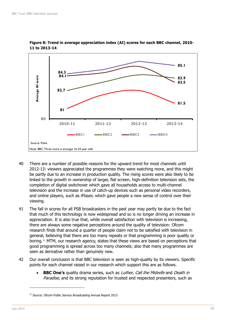

**Figure 8: Trend in average appreciation index (AI) scores for each BBC channel, 2010- 11 to 2013-14**

- 40 There are a number of possible reasons for the upward trend for most channels until 2012-13: viewers appreciated the programmes they were watching more, and this might be partly due to an increase in production quality. The rising scores were also likely to be linked to the growth in ownership of larger, flat screen, high-definition television sets, the completion of digital switchover which gave all households access to multi-channel television and the increase in use of catch-up devices such as personal video recorders, and online players, such as iPlayer, which gave people a new sense of control over their viewing.
- 41 The fall in scores for all PSB broadcasters in the past year may partly be due to the fact that much of this technology is now widespread and so is no longer driving an increase in appreciation. It is also true that, while overall satisfaction with television is increasing, there are always some negative perceptions around the quality of television: Ofcom research finds that around a quarter of people claim not to be satisfied with television in general, believing that there are too many repeats or that programming is poor quality or boring. <sup>21</sup> MTM, our research agency, states that these views are based on perceptions that good programming is spread across too many channels; also that many programmes are seen as derivative rather than genuinely new.
- 42 Our overall conclusion is that BBC television is seen as high-quality by its viewers. Specific points for each channel raised in our research which support this are as follows.
	- **BBC One's** quality drama series, such as Luther, Call the Midwife and Death in Paradise, and its strong reputation for trusted and respected presenters, such as

<sup>&</sup>lt;sup>21</sup> Source: Ofcom Public Service Broadcasting Annual Report 2013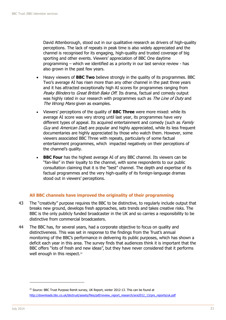David Attenborough, stood out in our qualitative research as drivers of high-quality perceptions. The lack of repeats in peak time is also widely appreciated and the channel is recognised for its engaging, high-quality and trusted coverage of big sporting and other events. Viewers' appreciation of BBC One daytime programming – which we identified as a priority in our last service review - has also grown in the past few years.

- Heavy viewers of **BBC Two** believe strongly in the quality of its programmes. BBC Two's average AI has risen more than any other channel in the past three years and it has attracted exceptionally high AI scores for programmes ranging from Peaky Blinders to Great British Bake Off. Its drama, factual and comedy output was highly rated in our research with programmes such as The Line of Duty and The Wrong Mans given as examples.
- Viewers' perceptions of the quality of **BBC Three** were more mixed: while its average AI score was very strong until last year, its programmes have very different types of appeal. Its acquired entertainment and comedy (such as *Family* Guy and American Dad) are popular and highly appreciated, while its less frequent documentaries are highly appreciated by those who watch them. However, some viewers associated BBC Three with repeats, particularly of some factual entertainment programmes, which impacted negatively on their perceptions of the channel's quality.
- **BBC Four** has the highest average AI of any BBC channel. Its viewers can be "fan-like" in their loyalty to the channel, with some respondents to our public consultation claiming that it is the "best" channel. The depth and expertise of its factual programmes and the very high-quality of its foreign-language dramas stood out in viewers' perceptions.

#### **All BBC channels have improved the originality of their programming**

- 43 The "creativity" purpose requires the BBC to be distinctive, to regularly include output that breaks new ground, develops fresh approaches, sets trends and takes creative risks. The BBC is the only publicly funded broadcaster in the UK and so carries a responsibility to be distinctive from commercial broadcasters.
- 44 The BBC has, for several years, had a corporate objective to focus on quality and distinctiveness. This was set in response to the findings from the Trust's annual monitoring of the BBC's performance in delivering its public purposes, which has shown a deficit each year in this area. The survey finds that audiences think it is important that the BBC offers "lots of fresh and new ideas", but they have never considered that it performs well enough in this respect.<sup>22</sup>

 $22$  Source: BBC Trust Purpose Remit survey, UK Report, winter 2012-13. This can be found at [http://downloads.bbc.co.uk/bbctrust/assets/files/pdf/review\\_report\\_research/ara2012\\_13/prs\\_reports/uk.pdf](http://downloads.bbc.co.uk/bbctrust/assets/files/pdf/review_report_research/ara2012_13/prs_reports/uk.pdf)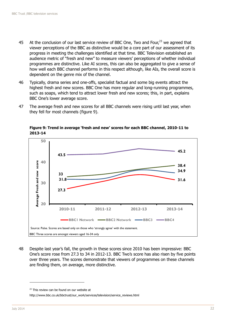- 45 At the conclusion of our last service review of BBC One, Two and Four, $^{23}$  we agreed that viewer perceptions of the BBC as distinctive would be a core part of our assessment of its progress in meeting the challenges identified at that time. BBC Television established an audience metric of "fresh and new" to measure viewers' perceptions of whether individual programmes are distinctive. Like AI scores, this can also be aggregated to give a sense of how well each BBC channel performs in this respect although, like AIs, the overall score is dependent on the genre mix of the channel.
- 46 Typically, drama series and one-offs, specialist factual and some big events attract the highest fresh and new scores. BBC One has more regular and long-running programmes, such as soaps, which tend to attract lower fresh and new scores; this, in part, explains BBC One's lower average score.
- 47 The average fresh and new scores for all BBC channels were rising until last year, when they fell for most channels (figure 9).



**Figure 9: Trend in average 'fresh and new' scores for each BBC channel, 2010-11 to 2013-14**

48 Despite last year's fall, the growth in these scores since 2010 has been impressive: BBC One's score rose from 27.3 to 34 in 2012-13. BBC Two's score has also risen by five points over three years. The scores demonstrate that viewers of programmes on these channels are finding them, on average, more distinctive.

 $23$  This review can be found on our website at

http://www.bbc.co.uk/bbctrust/our\_work/services/television/service\_reviews.html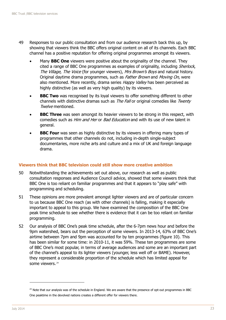- 49 Responses to our public consultation and from our audience research back this up, by showing that viewers think the BBC offers original content on all of its channels. Each BBC channel has a positive reputation for offering original programmes amongst its viewers.
	- Many **BBC One** viewers were positive about the originality of the channel. They cited a range of BBC One programmes as examples of originality, including *Sherlock*, The Village, The Voice (for younger viewers), Mrs Brown's Boys and natural history. Original daytime drama programmes, such as *Father Brown* and *Moving On*, were also mentioned. More recently, drama series Happy Valley has been perceived as highly distinctive (as well as very high quality) by its viewers.
	- **BBC Two** was recognised by its loyal viewers to offer something different to other channels with distinctive dramas such as *The Fall* or original comedies like *Twenty* Twelve mentioned.
	- **BBC Three** was seen amongst its heavier viewers to be strong in this respect, with comedies such as *Him and Her* or *Bad Education* and with its use of new talent in general.
	- **BBC Four** was seen as highly distinctive by its viewers in offering many types of programmes that other channels do not, including in-depth single-subject documentaries, more niche arts and culture and a mix of UK and foreign language drama.

#### **Viewers think that BBC television could still show more creative ambition**

- 50 Notwithstanding the achievements set out above, our research as well as public consultation responses and Audience Council advice, showed that some viewers think that BBC One is too reliant on familiar programmes and that it appears to "play safe" with programming and scheduling.
- 51 These opinions are more prevalent amongst lighter viewers and are of particular concern to us because BBC One reach (as with other channels) is falling, making it especially important to appeal to this group. We have examined the composition of the BBC One peak time schedule to see whether there is evidence that it can be too reliant on familiar programming.
- 52 Our analysis of BBC One's peak time schedule, after the 6-7pm news hour and before the 9pm watershed, bears out the perception of some viewers. In 2013-14, 63% of BBC One's airtime between 7pm and 9pm was accounted for by ten programmes (figure 10). This has been similar for some time: in 2010-11, it was 59%. These ten programmes are some of BBC One's most popular, in terms of average audiences and some are an important part of the channel's appeal to its lighter viewers (younger, less well off or BAME). However, they represent a considerable proportion of the schedule which has limited appeal for some viewers. 24

<sup>&</sup>lt;sup>24</sup> Note that our analysis was of the schedule in England. We are aware that the presence of opt-out programmes in BBC One peaktime in the devolved nations creates a different offer for viewers there.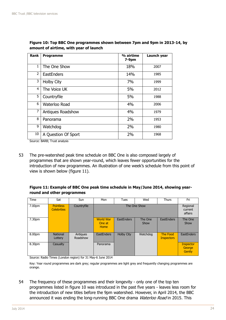| <b>Rank</b>    | <b>Programme</b>    | % airtime<br>$7-9pm$ | Launch year |
|----------------|---------------------|----------------------|-------------|
| 1              | The One Show        | 18%                  | 2007        |
| $\overline{2}$ | <b>EastEnders</b>   | 14%                  | 1985        |
| 3              | <b>Holby City</b>   | 7%                   | 1999        |
| 4              | The Voice UK        | 5%                   | 2012        |
| 5              | Countryfile         | 5%                   | 1988        |
| 6              | Waterloo Road       | 4%                   | 2006        |
| 7              | Antiques Roadshow   | 4%                   | 1979        |
| 8              | Panorama            | 2%                   | 1953        |
| 9              | Watchdog            | 2%                   | 1980        |
| 10             | A Question Of Sport | 2%                   | 1968        |

**Figure 10: Top BBC One programmes shown between 7pm and 9pm in 2013-14, by amount of airtime, with year of launch**

Source: BARB; Trust analysis

53 The pre-watershed peak time schedule on BBC One is also composed largely of programmes that are shown year-round, which leaves fewer opportunities for the introduction of new programmes. An illustration of one week's schedule from this point of view is shown below (figure 11).

#### **Figure 11: Example of BBC One peak time schedule in May/June 2014, showing yearround and other programmes**

| Time   | Sat                                    | Sun                  | Mon                                | Tues              | Wed             | <b>Thurs</b>                   | Fri                                  |
|--------|----------------------------------------|----------------------|------------------------------------|-------------------|-----------------|--------------------------------|--------------------------------------|
| 7.00pm | <b>Pointless</b><br><b>Celebrities</b> | Countryfile          | The One Show                       |                   |                 | Regional<br>current<br>affairs |                                      |
| 7.30pm |                                        |                      | <b>World War</b><br>One at<br>Home | <b>EastEnders</b> | The One<br>Show | <b>EastEnders</b>              | The One<br>Show                      |
| 8.00pm | <b>National</b><br>Lottery             | Antiques<br>Roadshow | <b>EastEnders</b>                  | <b>Holby City</b> | Watchdog        | The Food<br><b>Inspectors</b>  | <b>EastEnders</b>                    |
| 8.30pm | Casualty                               |                      | Panorama                           |                   |                 |                                | <b>Inspector</b><br>George<br>Gently |

Source: Radio Times (London region) for 31 May-6 June 2014

Key: Year round programmes are dark grey; regular programmes are light grey and frequently changing programmes are orange.

54 The frequency of these programmes and their longevity - only one of the top ten programmes listed in figure 10 was introduced in the past five years - leaves less room for the introduction of new titles before the 9pm watershed. However, in April 2014, the BBC announced it was ending the long-running BBC One drama Waterloo Road in 2015. This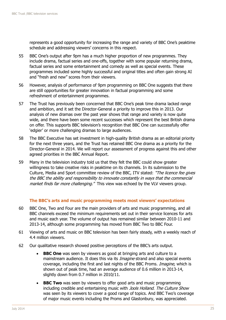represents a good opportunity for increasing the range and variety of BBC One's peaktime schedule and addressing viewers' concerns in this respect.

- 55 BBC One's output after 9pm has a much higher proportion of new programmes. They include drama, factual series and one-offs, together with some popular returning drama, factual series and some entertainment and comedy as well as special events. These programmes included some highly successful and original titles and often gain strong AI and "fresh and new" scores from their viewers.
- 56 However, analysis of performance of 9pm programming on BBC One suggests that there are still opportunities for greater innovation in factual programming and some refreshment of entertainment programmes.
- 57 The Trust has previously been concerned that BBC One's peak time drama lacked range and ambition, and it set the Director-General a priority to improve this in 2013. Our analysis of new dramas over the past year shows that range and variety is now quite wide, and there have been some recent successes which represent the best British drama on offer. This supports BBC television's recognition that BBC One can successfully offer 'edgier' or more challenging dramas to large audiences.
- 58 The BBC Executive has set investment in high-quality British drama as an editorial priority for the next three years, and the Trust has retained BBC One drama as a priority for the Director-General in 2014. We will report our assessment of progress against this and other agreed priorities in the BBC Annual Report.
- 59 Many in the television industry told us that they felt the BBC could show greater willingness to take creative risks in peaktime on its channels. In its submission to the Culture, Media and Sport committee review of the BBC, ITV stated: "The licence fee gives the BBC the ability and responsibility to innovate constantly in ways that the commercial market finds far more challenging." This view was echoed by the VLV viewers group.

#### **The BBC's arts and music programming meets most viewers' expectations**

- 60 BBC One, Two and Four are the main providers of arts and music programming, and all BBC channels exceed the minimum requirements set out in their service licences for arts and music each year. The volume of output has remained similar between 2010-11 and 2013-14, although some programming has moved from BBC Two to BBC Four.
- 61 Viewing of arts and music on BBC television has been fairly steady, with a weekly reach of 4.4 million viewers.
- 62 Our qualitative research showed positive perceptions of the BBC's arts output.
	- **BBC** One was seen by viewers as good at bringing arts and culture to a mainstream audience. It does this via its *Imagine* strand and also special events coverage, including the first and last nights of the BBC Proms. *Imagine*, which is shown out of peak time, had an average audience of 0.6 million in 2013-14, slightly down from 0.7 million in 2010/11.
	- **BBC Two** was seen by viewers to offer good arts and music programming including credible and entertaining music with Jools Holland. The Culture Show was seen by its viewers to cover a good range of topics. And BBC Two's coverage of major music events including the Proms and Glastonbury, was appreciated.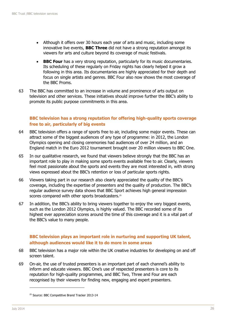- Although it offers over 30 hours each year of arts and music, including some innovative live events, **BBC Three** did not have a strong reputation amongst its viewers for arts and culture beyond its coverage of music festivals.
- **BBC Four** has a very strong reputation, particularly for its music documentaries. Its scheduling of these regularly on Friday nights has clearly helped it grow a following in this area. Its documentaries are highly appreciated for their depth and focus on single artists and genres. BBC Four also now shows the most coverage of the BBC Proms.
- 63 The BBC has committed to an increase in volume and prominence of arts output on television and other services. These initiatives should improve further the BBC's ability to promote its public purpose commitments in this area.

#### **BBC television has a strong reputation for offering high-quality sports coverage free to air, particularly of big events**

- 64 BBC television offers a range of sports free to air, including some major events. These can attract some of the biggest audiences of any type of programme: in 2012, the London Olympics opening and closing ceremonies had audiences of over 24 million, and an England match in the Euro 2012 tournament brought over 20 million viewers to BBC One.
- 65 In our qualitative research, we found that viewers believe strongly that the BBC has an important role to play in making some sports events available free to air. Clearly, viewers feel most passionate about the sports and events they are most interested in, with strong views expressed about the BBC's retention or loss of particular sports rights.
- 66 Viewers taking part in our research also clearly appreciated the quality of the BBC's coverage, including the expertise of presenters and the quality of production. The BBC's regular audience survey data shows that BBC Sport achieves high general impression scores compared with other sports broadcasters.<sup>25</sup>
- 67 In addition, the BBC's ability to bring viewers together to enjoy the very biggest events, such as the London 2012 Olympics, is highly valued. The BBC recorded some of its highest ever appreciation scores around the time of this coverage and it is a vital part of the BBC's value to many people.

#### **BBC television plays an important role in nurturing and supporting UK talent, although audiences would like it to do more in some areas**

- 68 BBC television has a major role within the UK creative industries for developing on and off screen talent.
- 69 On-air, the use of trusted presenters is an important part of each channel's ability to inform and educate viewers. BBC One's use of respected presenters is core to its reputation for high-quality programmes, and BBC Two, Three and Four are each recognised by their viewers for finding new, engaging and expert presenters.

<sup>&</sup>lt;sup>25</sup> Source: BBC Competitive Brand Tracker 2013-14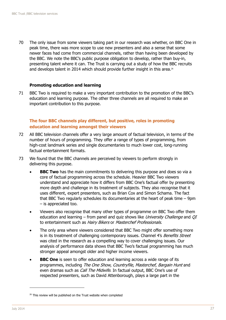70 The only issue from some viewers taking part in our research was whether, on BBC One in peak time, there was more scope to use new presenters and also a sense that some newer faces had come from commercial channels, rather than having been developed by the BBC. We note the BBC's public purpose obligation to develop, rather than buy-in, presenting talent where it can. The Trust is carrying out a study of how the BBC recruits and develops talent in 2014 which should provide further insight in this area.<sup>26</sup>

#### **Promoting education and learning**

71 BBC Two is required to make a very important contribution to the promotion of the BBC's education and learning purpose. The other three channels are all required to make an important contribution to this purpose.

#### **The four BBC channels play different, but positive, roles in promoting education and learning amongst their viewers**

- 72 All BBC television channels offer a very large amount of factual television, in terms of the number of hours of programming. They offer a range of types of programming, from high-cost landmark series and single documentaries to much lower cost, long-running factual entertainment formats.
- 73 We found that the BBC channels are perceived by viewers to perform strongly in delivering this purpose.
	- **BBC Two** has the main commitments to delivering this purpose and does so via a core of factual programming across the schedule. Heavier BBC Two viewers understand and appreciate how it differs from BBC One's factual offer by presenting more depth and challenge in its treatment of subjects. They also recognise that it uses different, expert presenters, such as Brian Cox and Simon Schama. The fact that BBC Two regularly schedules its documentaries at the heart of peak time – 9pm – is appreciated too.
	- Viewers also recognise that many other types of programme on BBC Two offer them education and learning – from panel and quiz shows like University Challenge and  $QI$ to entertainment such as Hairy Bikers or Masterchef Professionals.
	- The only area where viewers considered that BBC Two might offer something more is in its treatment of challenging contemporary issues. Channel 4's Benefits Street was cited in the research as a compelling way to cover challenging issues. Our analysis of performance data shows that BBC Two's factual programming has much stronger appeal amongst older and higher income viewers.
	- **BBC One** is seen to offer education and learning across a wide range of its programmes, including The One Show, Countryfile, Masterchef, Bargain Hunt and even dramas such as *Call The Midwife*. In factual output, BBC One's use of respected presenters, such as David Attenborough, plays a large part in the

<sup>&</sup>lt;sup>26</sup> This review will be published on the Trust website when completed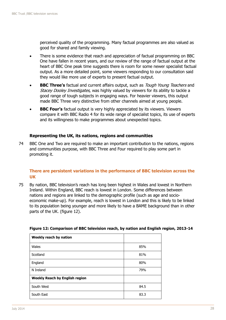perceived quality of the programming. Many factual programmes are also valued as good for shared and family viewing.

- There is some evidence that reach and appreciation of factual programming on BBC One have fallen in recent years, and our review of the range of factual output at the heart of BBC One peak time suggests there is room for some newer specialist factual output. As a more detailed point, some viewers responding to our consultation said they would like more use of experts to present factual output.
- **BBC Three's** factual and current affairs output, such as *Tough Young Teachers* and Stacey Dooley Investigates, was highly valued by viewers for its ability to tackle a good range of tough subjects in engaging ways. For heavier viewers, this output made BBC Three very distinctive from other channels aimed at young people.
- **BBC Four's** factual output is very highly appreciated by its viewers. Viewers compare it with BBC Radio 4 for its wide range of specialist topics, its use of experts and its willingness to make programmes about unexpected topics.

#### **Representing the UK, its nations, regions and communities**

74 BBC One and Two are required to make an important contribution to the nations, regions and communities purpose, with BBC Three and Four required to play some part in promoting it.

#### **There are persistent variations in the performance of BBC television across the UK**

75 By nation, BBC television's reach has long been highest in Wales and lowest in Northern Ireland. Within England, BBC reach is lowest in London. Some differences between nations and regions are linked to the demographic profile (such as age and socioeconomic make-up). For example, reach is lowest in London and this is likely to be linked to its population being younger and more likely to have a BAME background than in other parts of the UK. (figure 12).

| Weekly reach by nation                |      |
|---------------------------------------|------|
| Wales                                 | 85%  |
| Scotland                              | 81%  |
| England                               | 80%  |
| N Ireland                             | 79%  |
| <b>Weekly Reach by English region</b> |      |
| South West                            | 84.5 |
| South East                            | 83.3 |

#### **Figure 12: Comparison of BBC television reach, by nation and English region, 2013-14**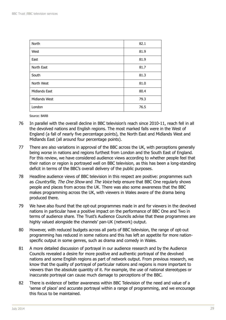| North                | 82.1 |
|----------------------|------|
| West                 | 81.9 |
| East                 | 81.9 |
| North East           | 81.7 |
| South                | 81.3 |
| North West           | 81.0 |
| <b>Midlands East</b> | 80.4 |
| Midlands West        | 79.3 |
| London               | 76.5 |

Source: BARB

- 76 In parallel with the overall decline in BBC television's reach since 2010-11, reach fell in all the devolved nations and English regions. The most marked falls were in the West of England (a fall of nearly five percentage points), the North East and Midlands West and Midlands East (all around four percentage points).
- 77 There are also variations in approval of the BBC across the UK, with perceptions generally being worse in nations and regions furthest from London and the South East of England. For this review, we have considered audience views according to whether people feel that their nation or region is portrayed well on BBC television, as this has been a long-standing deficit in terms of the BBC's overall delivery of the public purposes.
- 78 Headline audience views of BBC television in this respect are positive: programmes such as Countryfile, The One Show and The Voice help ensure that BBC One regularly shows people and places from across the UK. There was also some awareness that the BBC makes programming across the UK, with viewers in Wales aware of the drama being produced there.
- 79 We have also found that the opt-out programmes made in and for viewers in the devolved nations in particular have a positive impact on the performance of BBC One and Two in terms of audience share. The Trust's Audience Councils advise that these programmes are highly valued alongside the channels' pan-UK (network) output.
- 80 However, with reduced budgets across all parts of BBC television, the range of opt-out programming has reduced in some nations and this has left an appetite for more nationspecific output in some genres, such as drama and comedy in Wales.
- 81 A more detailed discussion of portrayal in our audience research and by the Audience Councils revealed a desire for more positive and authentic portrayal of the devolved nations and some English regions as part of network output. From previous research, we know that the quality of portrayal of particular nations and regions is more important to viewers than the absolute quantity of it. For example, the use of national stereotypes or inaccurate portrayal can cause much damage to perceptions of the BBC.
- 82 There is evidence of better awareness within BBC Television of the need and value of a 'sense of place' and accurate portrayal within a range of programming, and we encourage this focus to be maintained.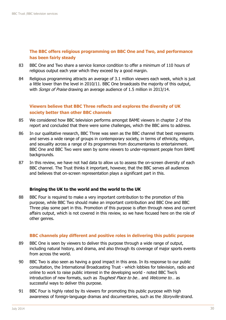#### **The BBC offers religious programming on BBC One and Two, and performance has been fairly steady**

- 83 BBC One and Two share a service licence condition to offer a minimum of 110 hours of religious output each year which they exceed by a good margin.
- 84 Religious programming attracts an average of 3.1 million viewers each week, which is just a little lower than the level in 2010/11. BBC One broadcasts the majority of this output, with *Songs of Praise* drawing an average audience of 1.5 million in 2013/14.

#### **Viewers believe that BBC Three reflects and explores the diversity of UK society better than other BBC channels**

- 85 We considered how BBC television performs amongst BAME viewers in chapter 2 of this report and concluded that there were some challenges, which the BBC aims to address.
- 86 In our qualitative research, BBC Three was seen as the BBC channel that best represents and serves a wide range of groups in contemporary society, in terms of ethnicity, religion, and sexuality across a range of its programmes from documentaries to entertainment. BBC One and BBC Two were seen by some viewers to under-represent people from BAME backgrounds.
- 87 In this review, we have not had data to allow us to assess the on-screen diversity of each BBC channel. The Trust thinks it important, however, that the BBC serves all audiences and believes that on-screen representation plays a significant part in this.

#### **Bringing the UK to the world and the world to the UK**

88 BBC Four is required to make a very important contribution to the promotion of this purpose, while BBC Two should make an important contribution and BBC One and BBC Three play some part in this. Promotion of this purpose is often through news and current affairs output, which is not covered in this review, so we have focused here on the role of other genres.

#### **BBC channels play different and positive roles in delivering this public purpose**

- 89 BBC One is seen by viewers to deliver this purpose through a wide range of output, including natural history, and drama, and also through its coverage of major sports events from across the world.
- 90 BBC Two is also seen as having a good impact in this area. In its response to our public consultation, the International Broadcasting Trust - which lobbies for television, radio and online to work to raise public interest in the developing world - noted BBC Two's introduction of new formats, such as *Toughest Place to be...* and *Welcome to...* as successful ways to deliver this purpose.
- 91 BBC Four is highly rated by its viewers for promoting this public purpose with high awareness of foreign-language dramas and documentaries, such as the *Storyville* strand.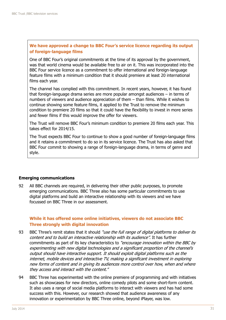#### **We have approved a change to BBC Four's service licence regarding its output of foreign-language films**

One of BBC Four's original commitments at the time of its approval by the government, was that world cinema would be available free to air on it. This was incorporated into the BBC Four service licence as a commitment to offer international and foreign-language feature films with a minimum condition that it should premiere at least 20 international films each year.

The channel has complied with this commitment. In recent years, however, it has found that foreign-language drama series are more popular amongst audiences – in terms of numbers of viewers and audience appreciation of them – than films. While it wishes to continue showing some feature films, it applied to the Trust to remove the minimum condition to premiere 20 films so that it could have the flexibility to invest in more series and fewer films if this would improve the offer for viewers.

The Trust will remove BBC Four's minimum condition to premiere 20 films each year. This takes effect for 2014/15.

The Trust expects BBC Four to continue to show a good number of foreign-language films and it retains a commitment to do so in its service licence. The Trust has also asked that BBC Four commit to showing a range of foreign-language drama, in terms of genre and style.

#### **Emerging communications**

92 All BBC channels are required, in delivering their other public purposes, to promote emerging communications. BBC Three also has some particular commitments to use digital platforms and build an interactive relationship with its viewers and we have focussed on BBC Three in our assessment.

#### **While it has offered some online initiatives, viewers do not associate BBC Three strongly with digital innovation**

- 93 BBC Three's remit states that it should "use the full range of digital platforms to deliver its content and to build an interactive relationship with its audience". It has further commitments as part of its key characteristics to "encourage innovation within the BBC by experimenting with new digital technologies and a significant proportion of the channel's output should have interactive support. It should exploit digital platforms such as the internet, mobile devices and interactive TV, making a significant investment in exploring new forms of content and in giving its audiences more control over how, when and where they access and interact with the content."
- 94 BBC Three has experimented with the online premiere of programming and with initiatives such as showcases for new directors, online comedy pilots and some short-form content. It also uses a range of social media platforms to interact with viewers and has had some success with this. However, our research showed that audience awareness of any innovation or experimentation by BBC Three online, beyond iPlayer, was low.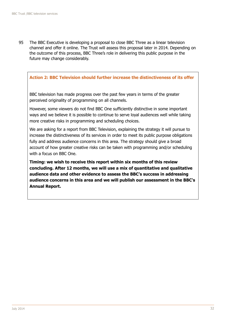95 The BBC Executive is developing a proposal to close BBC Three as a linear television channel and offer it online. The Trust will assess this proposal later in 2014. Depending on the outcome of this process, BBC Three's role in delivering this public purpose in the future may change considerably.

#### **Action 2: BBC Television should further increase the distinctiveness of its offer**

BBC television has made progress over the past few years in terms of the greater perceived originality of programming on all channels.

However, some viewers do not find BBC One sufficiently distinctive in some important ways and we believe it is possible to continue to serve loyal audiences well while taking more creative risks in programming and scheduling choices.

We are asking for a report from BBC Television, explaining the strategy it will pursue to increase the distinctiveness of its services in order to meet its public purpose obligations fully and address audience concerns in this area. The strategy should give a broad account of how greater creative risks can be taken with programming and/or scheduling with a focus on BBC One.

**Timing: we wish to receive this report within six months of this review concluding. After 12 months, we will use a mix of quantitative and qualitative audience data and other evidence to assess the BBC's success in addressing audience concerns in this area and we will publish our assessment in the BBC's Annual Report.**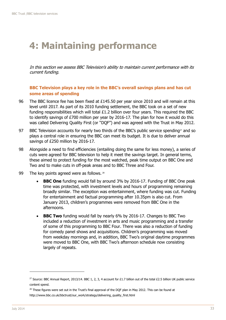## <span id="page-33-0"></span>**4: Maintaining performance**

In this section we assess BBC Television's ability to maintain current performance with its current funding.

**BBC Television plays a key role in the BBC's overall savings plans and has cut some areas of spending**

- 96 The BBC licence fee has been fixed at £145.50 per year since 2010 and will remain at this level until 2017. As part of its 2010 funding settlement, the BBC took on a set of new funding responsibilities which will total  $£1.2$  billion over four years. This required the BBC to identify savings of £700 million per year by 2016-17. The plan for how it would do this was called Delivering Quality First (or "DQF") and was agreed with the Trust in May 2012.
- 97 BBC Television accounts for nearly two thirds of the BBC's public service spending<sup>27</sup> and so plays a central role in ensuring the BBC can meet its budget. It is due to deliver annual savings of £250 million by 2016-17.
- 98 Alongside a need to find efficiencies (entailing doing the same for less money), a series of cuts were agreed for BBC television to help it meet the savings target. In general terms, these aimed to protect funding for the most watched, peak time output on BBC One and Two and to make cuts in off-peak areas and to BBC Three and Four.
- 99 The key points agreed were as follows. 28
	- **BBC One** funding would fall by around 3% by 2016-17. Funding of BBC One peak time was protected, with investment levels and hours of programming remaining broadly similar. The exception was entertainment, where funding was cut. Funding for entertainment and factual programming after 10.35pm is also cut. From January 2013, children's programmes were removed from BBC One in the afternoons.
	- **BBC Two** funding would fall by nearly 6% by 2016-17. Changes to BBC Two included a reduction of investment in arts and music programming and a transfer of some of this programming to BBC Four. There was also a reduction of funding for comedy panel shows and acquisitions. Children's programming was moved from weekday mornings and, in addition, BBC Two's original daytime programmes were moved to BBC One, with BBC Two's afternoon schedule now consisting largely of repeats.

<sup>&</sup>lt;sup>27</sup> Source: BBC Annual Report, 2013/14. BBC 1, 2, 3, 4 account for £1.7 billion out of the total £2.5 billion UK public service content spend.

<sup>&</sup>lt;sup>28</sup> These figures were set out in the Trust's final approval of the DQF plan in May 2012. This can be found at http://www.bbc.co.uk/bbctrust/our\_work/strategy/delivering\_quality\_first.html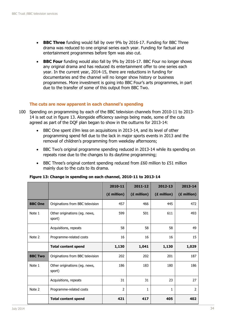- **BBC Three** funding would fall by over 9% by 2016-17. Funding for BBC Three drama was reduced to one original series each year. Funding for factual and entertainment programmes before 9pm was also cut.
- **BBC Four** funding would also fall by 9% by 2016-17. BBC Four no longer shows any original drama and has reduced its entertainment offer to one series each year. In the current year, 2014-15, there are reductions in funding for documentaries and the channel will no longer show history or business programmes. More investment is going into BBC Four's arts programmes, in part due to the transfer of some of this output from BBC Two.

#### **The cuts are now apparent in each channel's spending**

- 100 Spending on programming by each of the BBC television channels from 2010-11 to 2013- 14 is set out in figure 13. Alongside efficiency savings being made, some of the cuts agreed as part of the DQF plan began to show in the outturns for 2013-14:
	- BBC One spent £9m less on acquisitions in 2013-14, and its level of other programming spend fell due to the lack in major sports events in 2013 and the removal of children's programming from weekday afternoons;
	- BBC Two's original programme spending reduced in 2013-14 while its spending on repeats rose due to the changes to its daytime programming;
	- BBC Three's original content spending reduced from £60 million to £51 million mainly due to the cuts to its drama.

|                |                                         | 2010-11        | 2011-12     | 2012-13     | 2013-14        |
|----------------|-----------------------------------------|----------------|-------------|-------------|----------------|
|                |                                         | (£ million)    | (£ million) | (£ million) | (£ million)    |
| <b>BBC One</b> | Originations from BBC television        | 457            | 466         | 445         | 472            |
| Note 1         | Other originations (eg. news,<br>sport) | 599            | 501         | 611         | 493            |
|                | Acquisitions, repeats                   | 58             | 58          | 58          | 49             |
| Note 2         | Programme-related costs                 | 16             | 16          | 16          | 15             |
|                | <b>Total content spend</b>              | 1,130          | 1,041       | 1,130       | 1,029          |
| <b>BBC Two</b> | Originations from BBC television        | 202            | 202         | 201         | 187            |
| Note 1         | Other originations (eg. news,<br>sport) | 186            | 183         | 180         | 186            |
|                | Acquisitions, repeats                   | 31             | 31          | 23          | 27             |
| Note 2         | Programme-related costs                 | $\overline{2}$ | 1           | 1           | $\overline{2}$ |
|                | <b>Total content spend</b>              | 421            | 417         | 405         | 402            |

**Figure 13: Change in spending on each channel, 2010-11 to 2013-14**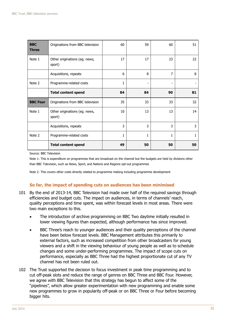| <b>BBC</b><br><b>Three</b> | Originations from BBC television        | 60 | 59                           | 60 | 51 |
|----------------------------|-----------------------------------------|----|------------------------------|----|----|
| Note 1                     | Other originations (eg. news,<br>sport) | 17 | 17                           | 23 | 22 |
|                            | Acquisitions, repeats                   | 6  | 8                            | 7  | 8  |
| Note 2                     | Programme-related costs                 | 1  | $\qquad \qquad \blacksquare$ |    |    |
|                            | <b>Total content spend</b>              | 84 | 84                           | 90 | 81 |
| <b>BBC Four</b>            | Originations from BBC television        | 35 | 33                           | 33 | 32 |
| Note 1                     | Other originations (eg. news,<br>sport) | 10 | 13                           | 13 | 14 |
|                            | Acquisitions, repeats                   | 3  | 3                            | 3  | 3  |
| Note 2                     | Programme-related costs                 | 1  | 1                            | 1  | 1  |
|                            | <b>Total content spend</b>              | 49 | 50                           | 50 | 50 |

Source: BBC Television

Note 1: This is expenditure on programmes that are broadcast on the channel but the budgets are held by divisions other than BBC Television, such as News, Sport, and Nations and Regions opt-out programmes

Note 2: This covers other costs directly related to programme making including programme development

#### **So far, the impact of spending cuts on audiences has been minimised**

- 101 By the end of 2013-14, BBC Television had made over half of the required savings through efficiencies and budget cuts. The impact on audiences, in terms of channels' reach, quality perceptions and time spent, was within forecast levels in most areas. There were two main exceptions to this.
	- The introduction of archive programming on BBC Two daytime initially resulted in lower viewing figures than expected, although performance has since improved.
	- BBC Three's reach to younger audiences and their quality perceptions of the channel have been below forecast levels. BBC Management attributes this primarily to external factors, such as increased competition from other broadcasters for young viewers and a shift in the viewing behaviour of young people as well as to schedule changes and some under-performing programmes. The impact of scope cuts on performance, especially as BBC Three had the highest proportionate cut of any TV channel has not been ruled out.
- 102 The Trust supported the decision to focus investment in peak time programming and to cut off-peak slots and reduce the range of genres on BBC Three and BBC Four. However, we agree with BBC Television that this strategy has begun to affect some of the "pipelines", which allow greater experimentation with new programming and enable some new programmes to grow in popularity off-peak or on BBC Three or Four before becoming bigger hits.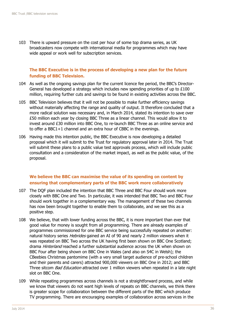103 There is upward pressure on the cost per hour of some top drama series, as UK broadcasters now compete with international media for programmes which may have wide appeal or work well for subscription services.

#### **The BBC Executive is in the process of developing a new plan for the future funding of BBC Television.**

- 104 As well as the ongoing savings plan for the current licence fee period, the BBC's Director-General has developed a strategy which includes new spending priorities of up to £100 million, requiring further cuts and savings to be found in existing activities across the BBC.
- 105 BBC Television believes that it will not be possible to make further efficiency savings without materially affecting the range and quality of output. It therefore concluded that a more radical solution was necessary and, in March 2014, stated its intention to save over £50 million each year by closing BBC Three as a linear channel. This would allow it to invest around £30 million into BBC One, to re-launch BBC Three as an online service and to offer a BBC1+1 channel and an extra hour of CBBC in the evenings.
- 106 Having made this intention public, the BBC Executive is now developing a detailed proposal which it will submit to the Trust for regulatory approval later in 2014. The Trust will submit these plans to a public value test approvals process, which will include public consultation and a consideration of the market impact, as well as the public value, of the proposal.

#### **We believe the BBC can maximise the value of its spending on content by ensuring that complementary parts of the BBC work more collaboratively**

- 107 The DQF plan included the intention that BBC Three and BBC Four should work more closely with BBC One and Two. In particular, it was intended that BBC Two and BBC Four should work together in a complementary way. The management of these two channels has now been brought together to enable them to collaborate, and we see this as a positive step.
- 108 We believe, that with lower funding across the BBC, it is more important than ever that good value for money is sought from all programming. There are already examples of programmes commissioned for one BBC service being successfully repeated on another: natural history series *Hebrides* gained an AI of 90 and nearly 2 million viewers when it was repeated on BBC Two across the UK having first been shown on BBC One Scotland; drama *Hinterland* reached a further substantial audience across the UK when shown on BBC Four after being shown on BBC One in Wales (and also on S4C in Welsh); the CBeebies Christmas pantomime (with a very small target audience of pre-school children and their parents and carers) attracted 900,000 viewers on BBC One in 2012; and BBC Three sitcom *Bad Education* attracted over 1 million viewers when repeated in a late night slot on BBC One.
- 109 While repeating programmes across channels is not a straightforward process, and while we know that viewers do not want high levels of repeats on BBC channels, we think there is greater scope for collaboration between the different parts of the BBC which produce TV programming. There are encouraging examples of collaboration across services in the